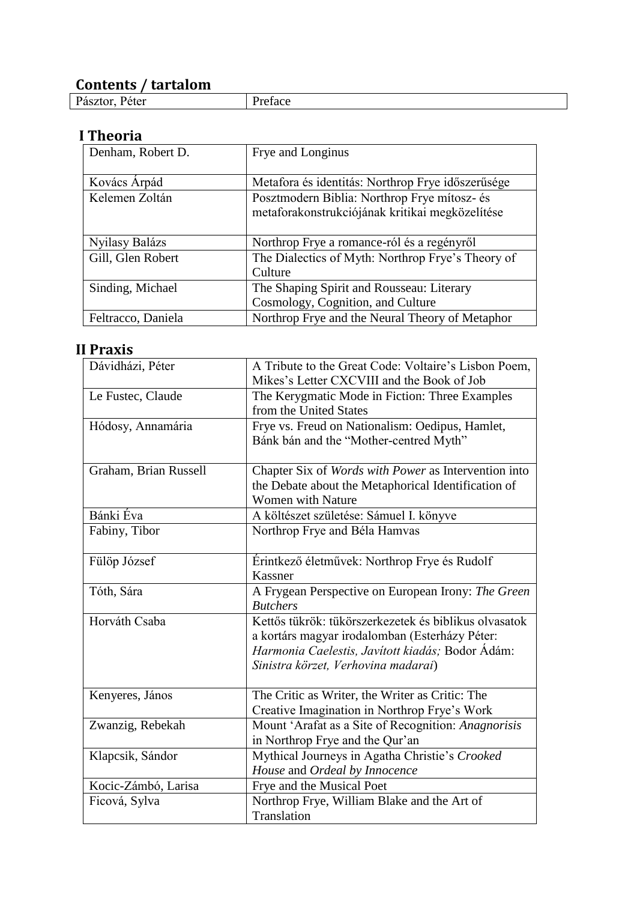## **Contents / tartalom**

Preface

### **I Theoria**

| Denham, Robert D.  | Frye and Longinus                                 |
|--------------------|---------------------------------------------------|
|                    |                                                   |
|                    |                                                   |
| Kovács Árpád       | Metafora és identitás: Northrop Frye időszerűsége |
| Kelemen Zoltán     | Posztmodern Biblia: Northrop Frye mítosz- és      |
|                    | metaforakonstrukciójának kritikai megközelítése   |
|                    |                                                   |
| Nyilasy Balázs     | Northrop Frye a romance-ról és a regényről        |
| Gill, Glen Robert  | The Dialectics of Myth: Northrop Frye's Theory of |
|                    | Culture                                           |
| Sinding, Michael   | The Shaping Spirit and Rousseau: Literary         |
|                    | Cosmology, Cognition, and Culture                 |
| Feltracco, Daniela | Northrop Frye and the Neural Theory of Metaphor   |

## **II Praxis**

| Dávidházi, Péter      | A Tribute to the Great Code: Voltaire's Lisbon Poem,                     |
|-----------------------|--------------------------------------------------------------------------|
|                       | Mikes's Letter CXCVIII and the Book of Job                               |
| Le Fustec, Claude     | The Kerygmatic Mode in Fiction: Three Examples<br>from the United States |
|                       | Frye vs. Freud on Nationalism: Oedipus, Hamlet,                          |
| Hódosy, Annamária     | Bánk bán and the "Mother-centred Myth"                                   |
|                       |                                                                          |
| Graham, Brian Russell | Chapter Six of Words with Power as Intervention into                     |
|                       | the Debate about the Metaphorical Identification of                      |
|                       | <b>Women with Nature</b>                                                 |
| Bánki Éva             | A költészet születése: Sámuel I. könyve                                  |
| Fabiny, Tibor         | Northrop Frye and Béla Hamvas                                            |
|                       |                                                                          |
| Fülöp József          | Érintkező életművek: Northrop Frye és Rudolf                             |
|                       | Kassner                                                                  |
| Tóth, Sára            | A Frygean Perspective on European Irony: The Green                       |
|                       | <b>Butchers</b>                                                          |
| Horváth Csaba         | Kettős tükrök: tükörszerkezetek és biblikus olvasatok                    |
|                       | a kortárs magyar irodalomban (Esterházy Péter:                           |
|                       | Harmonia Caelestis, Javított kiadás; Bodor Ádám:                         |
|                       | Sinistra körzet, Verhovina madarai)                                      |
| Kenyeres, János       | The Critic as Writer, the Writer as Critic: The                          |
|                       | Creative Imagination in Northrop Frye's Work                             |
| Zwanzig, Rebekah      | Mount 'Arafat as a Site of Recognition: Anagnorisis                      |
|                       | in Northrop Frye and the Qur'an                                          |
| Klapcsik, Sándor      | Mythical Journeys in Agatha Christie's Crooked                           |
|                       | House and Ordeal by Innocence                                            |
| Kocic-Zámbó, Larisa   | Frye and the Musical Poet                                                |
| Ficová, Sylva         | Northrop Frye, William Blake and the Art of                              |
|                       | Translation                                                              |